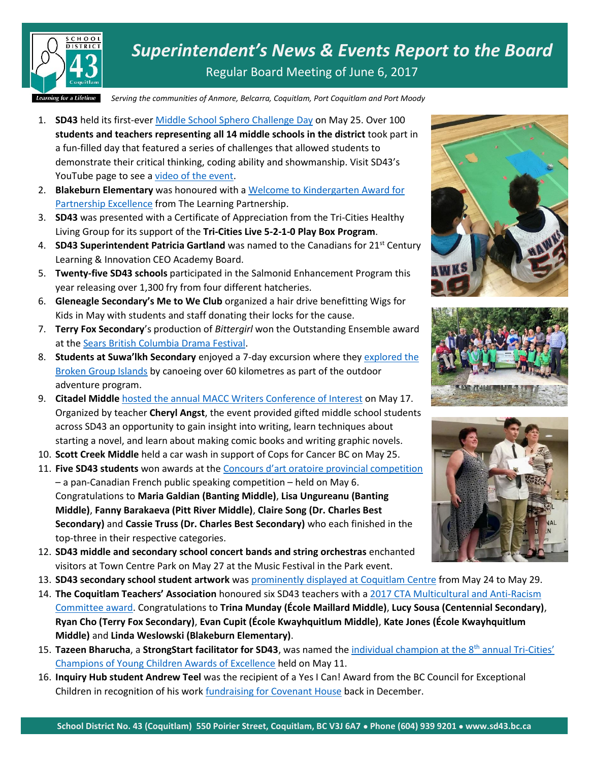

*Superintendent's News & Events Report to the Board* Regular Board Meeting of June 6, 2017

*Serving the communities of Anmore, Belcarra, Coquitlam, Port Coquitlam and Port Moody*

- 1. **SD43** held its first-eve[r Middle School Sphero Challenge Day](https://www.sd43.bc.ca/Pages/newsitem.aspx?ItemID=125&ListID=c4134e88-bc0d-484f-9d4d-93c69db7f94f&TemplateID=Announcement_Item) on May 25. Over 100 **students and teachers representing all 14 middle schools in the district** took part in a fun-filled day that featured a series of challenges that allowed students to demonstrate their critical thinking, coding ability and showmanship. Visit SD43's YouTube page to see a [video of the event.](https://www.youtube.com/watch?time_continue=42&v=akxIN-mQves)
- 2. **Blakeburn Elementary** was honoured with a [Welcome to Kindergarten Award for](http://www.thelearningpartnership.ca/what-we-do/student-programs/welcome-to-kindergarten/wtk-awards)  [Partnership Excellence](http://www.thelearningpartnership.ca/what-we-do/student-programs/welcome-to-kindergarten/wtk-awards) from The Learning Partnership.
- 3. **SD43** was presented with a Certificate of Appreciation from the Tri-Cities Healthy Living Group for its support of the **Tri-Cities Live 5-2-1-0 Play Box Program**.
- 4. **SD43 Superintendent Patricia Gartland** was named to the Canadians for 21<sup>st</sup> Century Learning & Innovation CEO Academy Board.
- 5. **Twenty-five SD43 schools** participated in the Salmonid Enhancement Program this year releasing over 1,300 fry from four different hatcheries.
- 6. **Gleneagle Secondary's Me to We Club** organized a hair drive benefitting Wigs for Kids in May with students and staff donating their locks for the cause.
- 7. **Terry Fox Secondary**'s production of *Bittergirl* won the Outstanding Ensemble award at th[e Sears British Columbia Drama Festival.](http://www.searsbcdramafest.com/)
- 8. **Students at Suwa'lkh Secondary** enjoyed a 7-day excursion where the[y explored the](http://www.sd43.bc.ca/Pages/newsitem.aspx?ItemID=124&ListID=c4134e88-bc0d-484f-9d4d-93c69db7f94f&TemplateID=Announcement_Item)  [Broken Group Islands](http://www.sd43.bc.ca/Pages/newsitem.aspx?ItemID=124&ListID=c4134e88-bc0d-484f-9d4d-93c69db7f94f&TemplateID=Announcement_Item) by canoeing over 60 kilometres as part of the outdoor adventure program.
- 9. **Citadel Middle** [hosted the annual MACC Writers Conference of Interest](http://www.tricitynews.com/news/education-spotlight-teachers-at-coquitlam-school-finalists-for-cmolik-prize-1.20207778) on May 17. Organized by teacher **Cheryl Angst**, the event provided gifted middle school students across SD43 an opportunity to gain insight into writing, learn techniques about starting a novel, and learn about making comic books and writing graphic novels.
- 10. **Scott Creek Middle** held a car wash in support of Cops for Cancer BC on May 25.
- 11. **Five SD43 students** won awards at the [Concours d'art oratoire provincial competition](http://www.tricitynews.com/community/spotlight-officer-civilian-awards-from-coquitlam-rcmp-supt-1.20335032) – a pan-Canadian French public speaking competition – held on May 6. Congratulations to **Maria Galdian (Banting Middle)**, **Lisa Ungureanu (Banting Middle)**, **Fanny Barakaeva (Pitt River Middle)**, **Claire Song (Dr. Charles Best Secondary)** and **Cassie Truss (Dr. Charles Best Secondary)** who each finished in the top-three in their respective categories.
- 12. **SD43 middle and secondary school concert bands and string orchestras** enchanted visitors at Town Centre Park on May 27 at the Music Festival in the Park event.
- 13. **SD43 secondary school student artwork** was [prominently displayed at Coquitlam Centre](http://www.coquitlamcentre.com/content/sd43-art-show-0) from May 24 to May 29.
- 14. **The Coquitlam Teachers' Association** honoured six SD43 teachers with a [2017 CTA Multicultural and Anti-Racism](https://www.facebook.com/CTA43/posts/718314961684906:0)  [Committee award.](https://www.facebook.com/CTA43/posts/718314961684906:0) Congratulations to **Trina Munday (École Maillard Middle)**, **Lucy Sousa (Centennial Secondary)**, **Ryan Cho (Terry Fox Secondary)**, **Evan Cupit (École Kwayhquitlum Middle)**, **Kate Jones (École Kwayhquitlum Middle)** and **Linda Weslowski (Blakeburn Elementary)**.
- 15. Tazeen Bharucha, a StrongStart facilitator for SD43, was named the [individual champion at the 8](http://www.tricitynews.com/community/spotlight-coquitlam-grad-vies-for-miss-world-canada-crown-1.20008151)<sup>th</sup> annual Tri-Cities' [Champions of Young Children Awards of Excellence](http://www.tricitynews.com/community/spotlight-coquitlam-grad-vies-for-miss-world-canada-crown-1.20008151) held on May 11.
- 16. **Inquiry Hub student Andrew Teel** was the recipient of a Yes I Can! Award from the BC Council for Exceptional Children in recognition of his wor[k fundraising for Covenant House](https://www.sd43.bc.ca/pages/newsitem.aspx?ItemID=104&ListID=c4134e88-bc0d-484f-9d4d-93c69db7f94f&TemplateID=Announcement_Item) back in December.